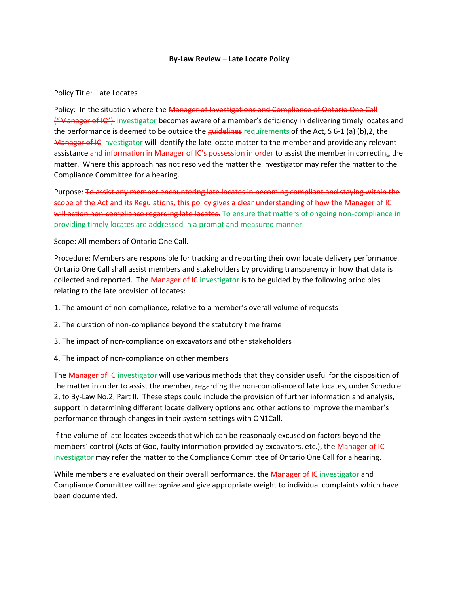## **By-Law Review – Late Locate Policy**

## Policy Title: Late Locates

Policy: In the situation where the Manager of Investigations and Compliance of Ontario One Call ("Manager of IC") investigator becomes aware of a member's deficiency in delivering timely locates and the performance is deemed to be outside the guidelines requirements of the Act, S 6-1 (a) (b), 2, the Manager of IC investigator will identify the late locate matter to the member and provide any relevant assistance and information in Manager of IC's possession in order to assist the member in correcting the matter. Where this approach has not resolved the matter the investigator may refer the matter to the Compliance Committee for a hearing.

Purpose: To assist any member encountering late locates in becoming compliant and staying within the scope of the Act and its Regulations, this policy gives a clear understanding of how the Manager of IC will action non-compliance regarding late locates. To ensure that matters of ongoing non-compliance in providing timely locates are addressed in a prompt and measured manner.

Scope: All members of Ontario One Call.

Procedure: Members are responsible for tracking and reporting their own locate delivery performance. Ontario One Call shall assist members and stakeholders by providing transparency in how that data is collected and reported. The Manager of IC investigator is to be guided by the following principles relating to the late provision of locates:

- 1. The amount of non-compliance, relative to a member's overall volume of requests
- 2. The duration of non-compliance beyond the statutory time frame
- 3. The impact of non-compliance on excavators and other stakeholders
- 4. The impact of non-compliance on other members

The Manager of IC investigator will use various methods that they consider useful for the disposition of the matter in order to assist the member, regarding the non-compliance of late locates, under Schedule 2, to By-Law No.2, Part II. These steps could include the provision of further information and analysis, support in determining different locate delivery options and other actions to improve the member's performance through changes in their system settings with ON1Call.

If the volume of late locates exceeds that which can be reasonably excused on factors beyond the members' control (Acts of God, faulty information provided by excavators, etc.), the Manager of IC investigator may refer the matter to the Compliance Committee of Ontario One Call for a hearing.

While members are evaluated on their overall performance, the Manager of IC investigator and Compliance Committee will recognize and give appropriate weight to individual complaints which have been documented.